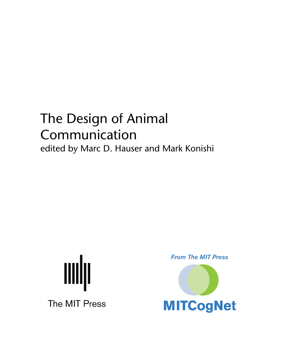## The Design of Animal Communication

edited by Marc D. Hauser and Mark Konishi



**From The MIT Press** 

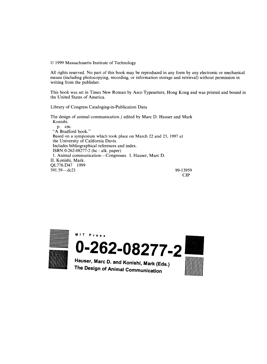© 1999 Massachusetts Institute of Technology

All rights reserved. No part of this book may be reproduced in any form by any electronic or mechanical means (including photocopying, recording, or information storage and retrieval) without permission in writing from the publisher.

This book was set in Times New Roman by Asco Typesetters, Hong Kong and was printed and bound in the United States of America.

Library of Congress Cataloging-in-Publication Data

The design of animal communication / edited by Marc D. Hauser and Mark Konishi. p. cm. "A Bradford book." Based on a symposium which took place on March 22 and 23, 1997 at the University of California Davis. Includes bibliographical references and index. ISBN 0-262-08277-2 (he : alk. paper) I. Animal communication-Congresses. I. Hauser, Marc D. II. Konishi, Mark. QL776.D47 1999 591.59—dc21 99-13959





**Hauser, \_Marc D.** ~nd **Konishi, Mark (Eds.)** *ll/ll/11111111*  **The Design of Animal Communication** 



CIP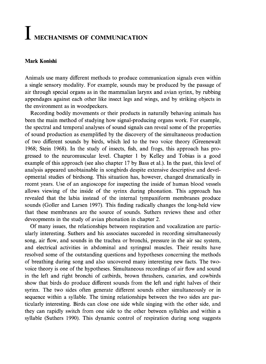## **I MECHANISMS OF COMMUNICATION**

## **Mark Konishi**

Animals use many different methods to produce communication signals even within a single sensory modality. For example, sounds may be produced by the passage of air through special organs as in the mammalian larynx and avian syrinx, by rubbing appendages against each other like insect legs and wings, and by striking objects in the environment as in woodpeckers.

Recording bodily movements or their products in naturally behaving animals has been the main method of studying how signal-producing organs work. For example, the spectral and temporal analyses of sound signals can reveal some of the properties of sound production as exemplified by the discovery of the simultaneous production of two different sounds by birds, which led to the two voice theory (Greenewalt 1968; Stein 1968). In the study of insects, fish, and frogs, this approach has progressed to the neuromuscular level. Chapter 1 by Kelley and Tobias is a good example of this approach (see also chapter 17 by Bass et al.). In the past, this level of analysis appeared unobtainable in songbirds despite extensive descriptive and developmental studies of birdsong. This situation has, however, changed dramatically in recent years. Use of an angioscope for inspecting the inside of human blood vessels allows viewing of the inside of the syrinx during phonation. This approach has revealed that the labia instead of the internal tympaniform membranes produce sounds (Goller and Larsen 1997). This finding radically changes the long-held view that these membranes are the source of sounds. Suthers reviews these and other deveopments in the study of avian phonation in chapter 2.

Of many issues, the relationships between respiration and vocalization are particularly interesting. Suthers and his associates succeeded in recording simultaneously song, air flow, and sounds in the trachea or bronchi, pressure in the air sac system, and electrical activities in abdominal and syringeal muscles. Their results have resolved some of the outstanding questions and hypotheses concerning the methods of breathing during song and also uncovered many interesting new facts. The twovoice theory is one of the hypotheses. Simultaneous recordings of air flow and sound in the left and right bronchi of catbirds, brown thrashers, canaries, and cowbirds show that birds do produce different sounds from the left and right halves of their syrinx. The two sides often generate different sounds either simultaneously or in sequence within a syllable. The timing relationships between the two sides are particularly interesting. Birds can close one side while singing with the other side, and they can rapidly switch from one side to the other between syllables and within a syllable (Suthers 1990). This dynamic control of respiration during song suggests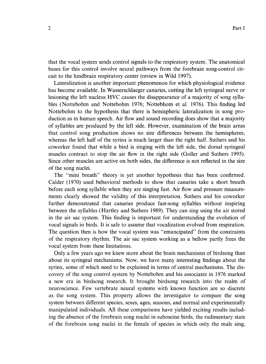that the vocal system sends control signals to the respiratory system. The anatomical bases for this control involve neural pathways from the forebrain song-control circuit to the hindbrain respiratory center (review in Wild 1997).

Lateralization is another important phenomenon for which physiological evidence has become available. In Wasserschlaeger canaries, cutting the left syringeal nerve or lesioning the left nucleus HVC causes the disappearance of a majority of song syllables (Nottebohm and Nottebohm 1976; Nottebhom et al. 1976). This finding led Nottebohm to the hypothesis that there is hemispheric lateralization in song production as in human speech. Air flow and sound recording does show that a majority of syllables are produced by the left side. However, examination of the brain areas that control song production shows no size differences between the hemispheres, whereas the left half of the syrinx is much larger than the right half. Suthers and his coworker found that while a bird is singing with the left side, the dorsal syringeal muscles contract to stop the air flow in the right side (Goller and Suthers 1995). Since other muscles are active on both sides, the difference is not reflected in the size of the song nuclei.

The "mini breath" theory is yet another hypothesis that has been confirmed. Calder (1970) used behavioral methods to show that canaries take a short breath before each song syllable when they are singing fast. Air flow and pressure measurements clearly showed the validity of this interpretation. Suthers and his coworker further demonstrated that canaries produce fast-song syllables without inspiring between the syllables (Hartley and Suthers 1989). They can sing using the air stored in the air sac system. This finding is important for understanding the evolution of vocal signals in birds. It is safe to assume that vocalization evolved from respiration. The question then is how the vocal system was "emancipated" from the constraints of the respiratory rhythm. The air sac system working as a bellow partly frees the vocal system from these limitations.

Only a few years ago we knew more about the brain mechanisms of birdsong than about its syringeal mechanisms. Now, we have many interesting findings about the syrinx, some of which need to be explained in terms of central mechanisms. The discovery of the song control system by Nottebohm and his associates in 1976 marked a new era in birdsong research. It brought birdsong research into the realm of neuroscience. Few vertebrate neural systems with known function are so discrete as the song system. This property allows the investigator to compare the song system between different species, sexes, ages, seasons, and normal and experimentally manipulated individuals. All these comparisons have yielded exciting results including the absence of the forebrain song nuclei in suboscine birds, the rudimentary state of the forebrain song nuclei in the female of species in which only the male sing,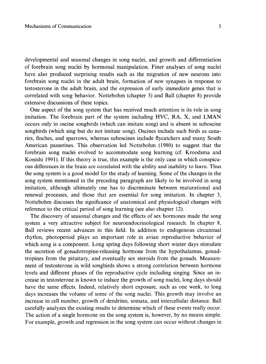developmental and seasonal changes in song nuclei, and growth and differentiation of forebrain song nuclei by hormonal manipulation. Finer analyses of song nuclei have also produced surprising results such as the migration of new neurons into forebrain song nuclei in the adult brain, formation of new synapses in response to testosterone in the adult brain, and the expression of early immediate genes that is correlated with song behavior. Nottebohm (chapter 3) and Ball (chapter 8) provide extensive discussions of these topics.

One aspect of the song system that has received much attention is its role in song imitation. The forebrain part of the system including HVC, RA, X, and LMAN occurs only in oscine songbirds (which can imitate song) and is absent in suboscine songbirds (which sing but do not imitate song). Oscines include such birds as canaries, finches, and sparrows, whereas suboscines include flycatchers and many South American passerines. This observation led Nottebohm (1980) to suggest that the forebrain song nuclei evolved to accommodate song learning (cf. Kroodsma and Konishi 1991). If this theory is true, this example is the only case in which conspicuous differences in the brain are correlated with the ability and inability to learn. Thus the song system is a good model for the study of learning. Some of the changes in the song system mentioned in the preceding paragraph are likely to be involved in song imitation, although ultimately one has to discriminate between maturational and renewal processes, and those that are essential for song imitation. In chapter 3, Nottebohm discusses the significance of anatomical and physiological changes with reference to the critical period of song learning (see also chapter 12).

The discovery of seasonal changes and the effects of sex hormones made the song system a very attractive subject for neuroendocrinological research. In chapter 8, Ball reviews recent advances in this field. In addition to endogenous circannual rhythm, photoperiod plays an important role in avian reproductive behavior of which song is a component. Long spring days following short winter days stimulate the secretion of gonadotropine-releasing hormone from the hypothalamus, gonadtropines from the pituitary, and eventually sex steroids from the gonads. Measurement of testosterone in wild songbirds shows a strong correlation between hormone levels and different phases of the reproductive cycle including singing. Since an increase in testosterone is known to induce the growth of song nuclei, long days should have the same effects. Indeed, relatively short exposure, such as one week, to long days increases the volume of some of the song nuclei. This growth may involve an increase in cell number, growth of dendrites, somata, and intercellular distance. Ball carefully analyzes the existing results to determine which of these events really occur. The action of a single hormone on the song system is, however, by no means simple. For example, growth and regression in the song system can occur without changes in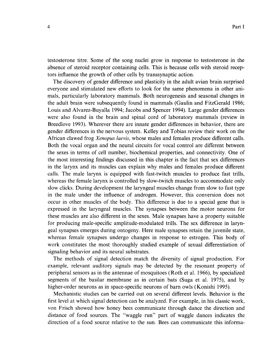testosterone titre. Some of the song nuclei grow in response to testosterone in the absence of steroid receptor containing cells. This is because cells with steroid receptors influence the growth of other cells by transsynaptic action.

The discovery of gender difference and plasticity in the adult avian brain surprised everyone and stimulated new efforts to look for the same phenomena in other animals, particularly laboratory mammals. Both neurogenesis and seasonal changes in the adult brain were subsequently found in mammals (Gaulin and FitzGerald 1986; Louis and Alvarez-Buyalla 1994; Jacobs and Spencer 1994). Large gender differences were also found in the brain and spinal cord of laboratory mammals (review in Breedlove 1993). Wherever there are innate gender differences in behavior, there are gender differences in the nervous system. Kelley and Tobias review their work on the African clawed frog *Xenopus laevis,* whose males and females produce different calls. Both the vocal organ and the neural circuits for vocal control are different between the sexes in terms of cell number, biochemical properties, and connectivity. One of the most interesting findings discussed in this chapter is the fact that sex differences in the larynx and its muscles can explain why males and females produce different calls. The male larynx is equipped with fast-twitch muscles to produce fast trills, whereas the female larynx is controlled by slow-twitch muscles to accommodate only slow clicks. During development the laryngeal muscles change from slow to fast type in the male under the influence of androgen. However, this conversion does not occur in other muscles of the body. This difference is due to a special gene that is expressed in the laryngeal muscles. The synapses between the motor neurons for these muscles are also different in the sexes. Male synapses have a property suitable for producing male-specific amplitude-modulated trills. The sex difference in laryngeal synapses emerges during ontogeny. Here male synapses retain the juvenile state, whereas female synapses undergo changes in response to estrogen. This body of work constitutes the most thoroughly studied example of sexual differentiation of signaling behavior and its neural substrates.

The methods of signal detection match the diversity of signal production. For example, relevant auditory signals may be detected by the resonant property of peripheral sensors as in the antennae of mosquitoes (Roth et al. 1966), by specialized segments of the basilar membrane as in certain bats (Suga et al. 1975), and by higher-order neurons as in space-specific neurons of barn owls (Konishi 1995).

Mechanistic studies can be carried out on several different levels. Behavior is the first level at which signal detection can be analyzed. For example, in his classic work, von Frisch showed how honey bees communicate through dance the direction and distance of food sources. The "waggle run" part of waggle dances indicates the direction of a food source relative to the sun. Bees can communicate this informa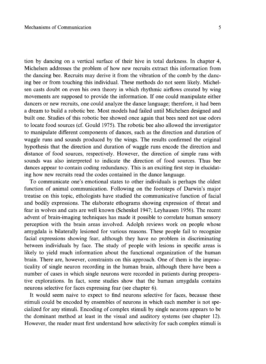tion by dancing on a vertical surface of their hive in total darkness. In chapter 4, Michelsen addresses the problem of how new recruits extract this information from the dancing bee. Recruits may derive it from the vibration of the comb by the dancing bee or from touching this individual. These methods do not seem likely. Michelsen casts doubt on even his own theory in which rhythmic airflows created by wing movements are supposed to provide the information. If one could manipulate either dancers or new recruits, one could analyze the dance language; therefore, it had been a dream to build a robotic bee. Most models had failed until Michelsen designed and built one. Studies of this robotic bee showed once again that bees need not use odors to locate food sources (cf. Gould 1975). The robotic bee also allowed the investigator to manipulate different components of dances, such as the direction and duration of waggle runs and sounds produced by the wings. The results confirmed the original hypothesis that the direction and duration of waggle runs encode the direction and distance of food sources, respectively. However, the direction of simple runs with sounds was also interpreted to indicate the direction of food sources. Thus bee dances appear to contain coding redundancy. This is an exciting first step in elucidating how new recruits read the codes contained in the dance language.

To communicate one's emotional states to other individuals is perhaps the oldest function of animal communication. Following on the footsteps of Darwin's major treatise on this topic, ethologists have studied the communicative function of facial and bodily expressions. The elaborate ethograms showing expression of threat and fear in wolves and cats are well known (Schenkel 1947; Leyhausen 1956). The recent advent of brain-imaging techniques has made it possible to correlate human sensory perception with the brain areas involved. Adolph reviews work on people whose amygdala is bilaterally lesioned for various reasons. These people fail to recognize facial expressions showing fear, although they have no problem in discriminating between individuals by face. The study of people with lesions in specific areas is likely to yield much information about the functional organization of the human brain. There are, however, constraints on this approach. One of them is the impracticality of single neuron recording in the human brain, although there have been a number of cases in which single neurons were recorded in patients during preoperative explorations. In fact, some studies show that the human amygdala contains neurons selective for faces expressing fear (see chapter 6).

It would seem naive to expect to find neurons selective for faces, because these stimuli could be encoded by ensembles of neurons in which each member is not specialized for any stimuli. Encoding of complex stimuli by single neurons appears to be the dominant method at least in the visual and auditory systems (see chapter 12). However, the reader must first understand how selectivity for such complex stimuli is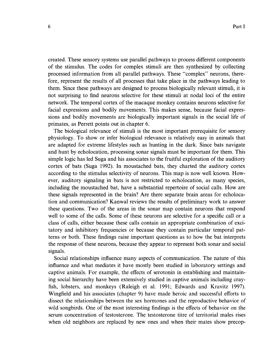created. These sensory systems use parallel pathways to process different components of the stimulus. The codes for complex stimuli are then synthesized by collecting processed information from all parallel pathways. These "complex" neurons, therefore, represent the results of all processes that take place in the pathways leading to them. Since these pathways are designed to process biologically relevant stimuli, it is not surprising to find neurons selective for these stimuli at nodal loci of the entire network. The temporal cortex of the macaque monkey contains neurons selective for facial expressions and bodily movements. This makes sense, because facial expressions and bodily movements are biologically important signals in the social life of primates, as Perrett points out in chapter 6.

The biological relevance of stimuli is the most important prerequisite for sensory physiology. To show or infer biological relevance is relatively easy in animals that are adapted for extreme lifestyles such as hunting in the dark. Since bats navigate and hunt by echolocation, processing sonar signals must be important for them. This simple logic has led Suga and his associates to the fruitful exploration of the auditory cortex of bats (Suga 1992). In moustached bats, they charted the auditory cortex according to the stimulus selectivity of neurons. This map is now well known. However, auditory signaling in bats is not restricted to echolocation, as many species, including the moustached bat, have a substantial repertoire of social calls. How are these signals represented in the brain? Are there separate brain areas for echolocation and communication? Kanwal reviews the results of preliminary work to answer these questions. Two of the areas in the sonar map contain neurons that respond well to some of the calls. Some of these neurons are selective for a specific call or a class of calls, either because these calls contain an appropriate combination of excitatory and inhibitory frequencies or because they contain particular temporal patterns or both. These findings raise important questions as to how the bat interprets the response of these neurons, because they appear to represent both sonar and social signals.

Social relationships influence many aspects of communication. The nature of this influence and what mediates it have mostly been studied in laboratory settings and captive animals. For example, the effects of serotonin in establishing and maintaining social hierarchy have been extensively studied in captive animals including crayfish, lobsters, and monkeys (Raleigh et al. 1991; Edwards and Kravitz 1997). Wingfield and his associates (chapter 9) have made heroic and successful efforts to dissect the relationships between the sex hormones and the reproductive behavior of wild songbirds. One of the most interesting findings is the effects of behavior on the serum concentration of testosterone. The testosterone titre of territorial males rises when old neighbors are replaced by new ones and when their mates show precop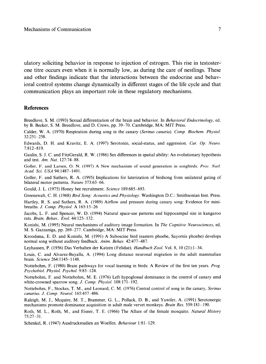ulatory soliciting behavior in response to injection of estrogen. This rise in testoster-· one titre occurs even when it is normally low, as during the care of nestlings. These and other findings indicate that the interactions between the endocrine and behavioral control systems change dynamically in different stages of the life cycle and that communication plays an important role in these regulatory mechanisms.

## **References**

Breedlove, S. M. (1993) Sexual differentiation of the brain and behavior. In *Behavioral Endocrinology,* ed. by B. Becker, S. M. Breedlove, and D. Crews, pp. 39-70. Cambridge, MA: MIT Press.

Calder, W. A. (1970) Respiration during song in the canary *(Serinus canaria). Comp. Biochem. Physiol.*  32:251-258.

Edwards, D. H. and Kravitz, E. A. (1997) Serotonin, social-status, and aggression. *Cur. Op. Neuro.*  7:812-819.

Gaulin, S. J.C. and FitzGerald, R. W. (1986) Sex differences in spatial ability: An evolutionary hypothesis and test. *Am. Nat.* 127:74-88.

Goller, F. and Larsen, 0. N. (1997) A New mechanism of sound generation in songbirds. *Proc. Natl. Acad. Sci. USA* 94:1487-1491.

Goller, F. and Suthers, R. A. (1995) Implications for laterization of birdsong from unilateral gating of bilateral motor patterns. *Nature* 373:63-66.

Gould, J. L. (1975) Honey bee recruitment. *Science* 189:685-693.

Greenewalt, C.H. (1968) *Bird Song: Acoustics and Physiology.* Washington D.C.: Smithsonian Inst. Press.

Hartley, R. S. and Suthers, R. A. (1989) Airflow and pressure during canary song: Evidence for minibreaths. *J. Comp. Physiol.* A 165:15-26

Jacobs, L. F. and Spencer, W. D. (1994) Natural space-use patterns and hippocampal size in kangaroo rats. *Brain, Behav., Evol.* 44:125-132.

Konishi, M. (1995) Neural mechanisms of auditory image formation. In *The Cognitive Neurosciences,* ed. M. S. Gazzaniga, pp. 269-277. Cambridge, MA: MIT Press.

Kroodsma, E. D. and Konishi, M. (1991) A Suboscine bird (eastern phoebe, Sayornis phoebe) develops normal song without auditory feedback. *Anim. Behav.* 42:477-487.

Leyhausen, P. (1956) Das Verhalten der Katzen (Felidae). *Handbuch Zoo/.* Vol. 8, 10 (21):1-34.

Louis, C. and Alvarez-Buyalla, A. (1994) Long distance neuronal migration in the adult mammalian brain. *Science* 264:1145-1148.

Nottebohm, F. (1980) Brain pathways for vocal learning in birds: A Review of the first ten years. *Prag. Psychobiol. Physiol. Psycho!.* 9:85-124.

Nottebohm, F. and Nottebohm, M. E. (1976) Left hypoglossal dominance in the control of canary amd white-crowned sparrow song. J. *Comp. Physiol.* 108:171-192.

Nottebohm, F., Stockes, T. M., and Leonard, C. M. (1976) Central control of song in the canary, *Serinus canarius.* J. *Comp. Neurol.* 165:457-486.

Raleigh, M. J., Mcquire, M. T., Brammer, G. L., Pollack, D. B., and Yuwiler, A. (1991) Serotonergic mechanisms promote dominance acquisition in adult male vervet monkeys. *Brain Res.* 559:181-190.

Roth, M. L., Roth, M., and Eisner, T. E. (1966) The Allure of the female mosquito. *Natural History*  75:27-31.

Schenkel, R. (1947) Ausdruckstudien an Woelfen. *Behaviour* 1:81-129.